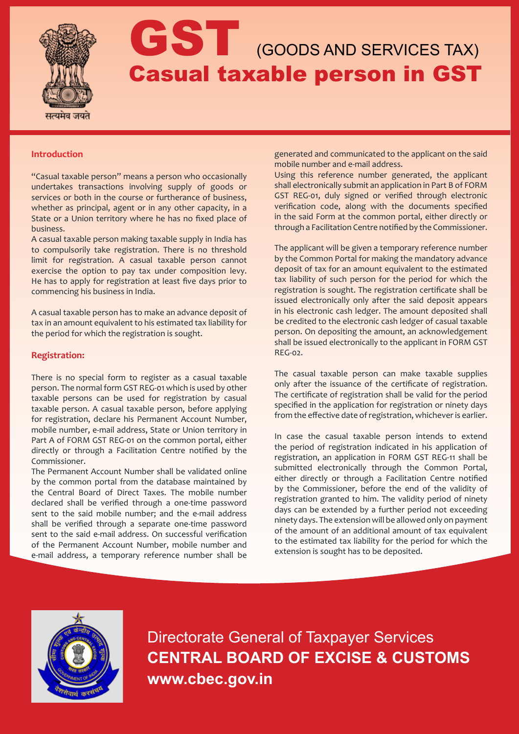

# GST (GOODS AND SERVICES TAX) Casual taxable person in GST

## **Introduction**

"Casual taxable person" means a person who occasionally undertakes transactions involving supply of goods or services or both in the course or furtherance of business, whether as principal, agent or in any other capacity, in a State or a Union territory where he has no fixed place of business.

A casual taxable person making taxable supply in India has to compulsorily take registration. There is no threshold limit for registration. A casual taxable person cannot exercise the option to pay tax under composition levy. He has to apply for registration at least five days prior to commencing his business in India.

A casual taxable person has to make an advance deposit of tax in an amount equivalent to his estimated tax liability for the period for which the registration is sought.

## **Registration:**

There is no special form to register as a casual taxable person. The normal form GST REG-01 which is used by other taxable persons can be used for registration by casual taxable person. A casual taxable person, before applying for registration, declare his Permanent Account Number, mobile number, e-mail address, State or Union territory in Part A of FORM GST REG-01 on the common portal, either directly or through a Facilitation Centre notified by the Commissioner.

The Permanent Account Number shall be validated online by the common portal from the database maintained by the Central Board of Direct Taxes. The mobile number declared shall be verified through a one-time password sent to the said mobile number; and the e-mail address shall be verified through a separate one-time password sent to the said e-mail address. On successful verification of the Permanent Account Number, mobile number and e-mail address, a temporary reference number shall be

generated and communicated to the applicant on the said mobile number and e-mail address.

Using this reference number generated, the applicant shall electronically submit an application in Part B of FORM GST REG-01, duly signed or verified through electronic verification code, along with the documents specified in the said Form at the common portal, either directly or through a Facilitation Centre notified by the Commissioner.

The applicant will be given a temporary reference number by the Common Portal for making the mandatory advance deposit of tax for an amount equivalent to the estimated tax liability of such person for the period for which the registration is sought. The registration certificate shall be issued electronically only after the said deposit appears in his electronic cash ledger. The amount deposited shall be credited to the electronic cash ledger of casual taxable person. On depositing the amount, an acknowledgement shall be issued electronically to the applicant in FORM GST REG-02.

The casual taxable person can make taxable supplies only after the issuance of the certificate of registration. The certificate of registration shall be valid for the period specified in the application for registration or ninety days from the effective date of registration, whichever is earlier.

In case the casual taxable person intends to extend the period of registration indicated in his application of registration, an application in FORM GST REG-11 shall be submitted electronically through the Common Portal, either directly or through a Facilitation Centre notified by the Commissioner, before the end of the validity of registration granted to him. The validity period of ninety days can be extended by a further period not exceeding ninety days. The extension will be allowed only on payment of the amount of an additional amount of tax equivalent to the estimated tax liability for the period for which the extension is sought has to be deposited.



Directorate General of Taxpayer Services **CENTRAL BOARD OF EXCISE & CUSTOMS www.cbec.gov.in**